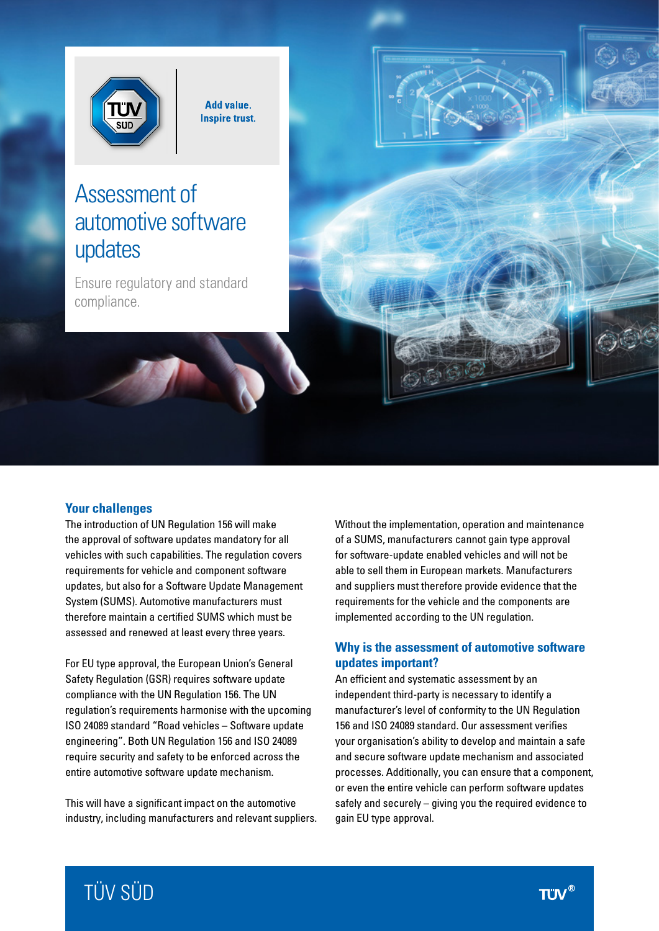

Add value. **Inspire trust.** 

# Assessment of automotive software updates

Ensure regulatory and standard compliance.

# **Your challenges**

The introduction of UN Regulation 156 will make the approval of software updates mandatory for all vehicles with such capabilities. The regulation covers requirements for vehicle and component software updates, but also for a Software Update Management System (SUMS). Automotive manufacturers must therefore maintain a certified SUMS which must be assessed and renewed at least every three years.

For EU type approval, the European Union's General Safety Regulation (GSR) requires software update compliance with the UN Regulation 156. The UN regulation's requirements harmonise with the upcoming ISO 24089 standard "Road vehicles – Software update engineering". Both UN Regulation 156 and ISO 24089 require security and safety to be enforced across the entire automotive software update mechanism.

This will have a significant impact on the automotive industry, including manufacturers and relevant suppliers. Without the implementation, operation and maintenance of a SUMS, manufacturers cannot gain type approval for software-update enabled vehicles and will not be able to sell them in European markets. Manufacturers and suppliers must therefore provide evidence that the requirements for the vehicle and the components are implemented according to the UN regulation.

# **Why is the assessment of automotive software updates important?**

An efficient and systematic assessment by an independent third-party is necessary to identify a manufacturer's level of conformity to the UN Regulation 156 and ISO 24089 standard. Our assessment verifies your organisation's ability to develop and maintain a safe and secure software update mechanism and associated processes. Additionally, you can ensure that a component, or even the entire vehicle can perform software updates safely and securely – giving you the required evidence to gain EU type approval.

# TÜV SÜD